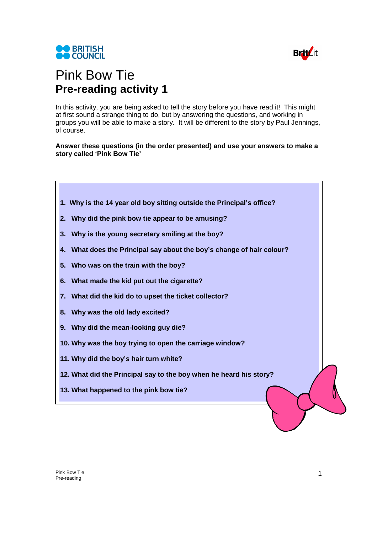



## Pink Bow Tie **Pre-reading activity 1**

In this activity, you are being asked to tell the story before you have read it! This might at first sound a strange thing to do, but by answering the questions, and working in groups you will be able to make a story. It will be different to the story by Paul Jennings, of course.

**Answer these questions (in the order presented) and use your answers to make a story called 'Pink Bow Tie'** 



- **2. Why did the pink bow tie appear to be amusing?**
- **3. Why is the young secretary smiling at the boy?**
- **4. What does the Principal say about the boy's change of hair colour?**
- **5. Who was on the train with the boy?**
- **6. What made the kid put out the cigarette?**
- **7. What did the kid do to upset the ticket collector?**
- **8. Why was the old lady excited?**
- **9. Why did the mean-looking guy die?**
- **10. Why was the boy trying to open the carriage window?**
- **11. Why did the boy's hair turn white?**
- **12. What did the Principal say to the boy when he heard his story?**
- **13. What happened to the pink bow tie?**